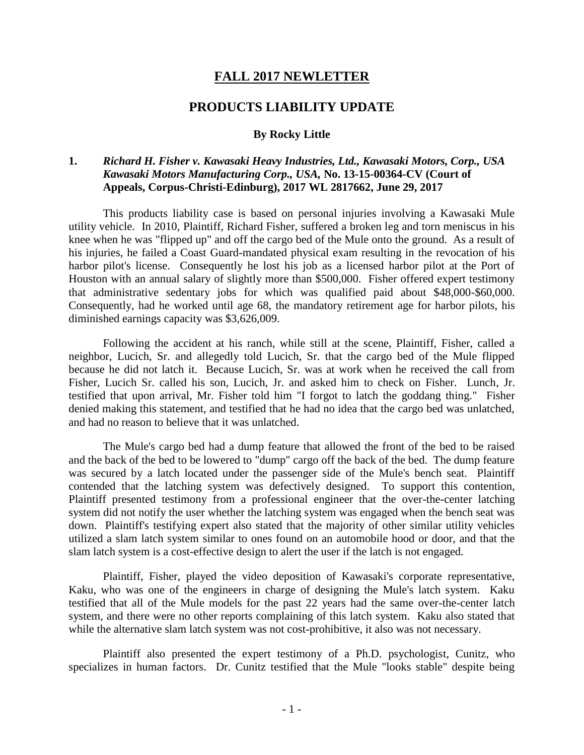## **FALL 2017 NEWLETTER**

## **PRODUCTS LIABILITY UPDATE**

## **By Rocky Little**

## **1.** *Richard H. Fisher v. Kawasaki Heavy Industries, Ltd., Kawasaki Motors, Corp., USA Kawasaki Motors Manufacturing Corp., USA,* **No. 13-15-00364-CV (Court of Appeals, Corpus-Christi-Edinburg), 2017 WL 2817662, June 29, 2017**

This products liability case is based on personal injuries involving a Kawasaki Mule utility vehicle. In 2010, Plaintiff, Richard Fisher, suffered a broken leg and torn meniscus in his knee when he was "flipped up" and off the cargo bed of the Mule onto the ground. As a result of his injuries, he failed a Coast Guard-mandated physical exam resulting in the revocation of his harbor pilot's license. Consequently he lost his job as a licensed harbor pilot at the Port of Houston with an annual salary of slightly more than \$500,000. Fisher offered expert testimony that administrative sedentary jobs for which was qualified paid about \$48,000-\$60,000. Consequently, had he worked until age 68, the mandatory retirement age for harbor pilots, his diminished earnings capacity was \$3,626,009.

Following the accident at his ranch, while still at the scene, Plaintiff, Fisher, called a neighbor, Lucich, Sr. and allegedly told Lucich, Sr. that the cargo bed of the Mule flipped because he did not latch it. Because Lucich, Sr. was at work when he received the call from Fisher, Lucich Sr. called his son, Lucich, Jr. and asked him to check on Fisher. Lunch, Jr. testified that upon arrival, Mr. Fisher told him "I forgot to latch the goddang thing." Fisher denied making this statement, and testified that he had no idea that the cargo bed was unlatched, and had no reason to believe that it was unlatched.

The Mule's cargo bed had a dump feature that allowed the front of the bed to be raised and the back of the bed to be lowered to "dump" cargo off the back of the bed. The dump feature was secured by a latch located under the passenger side of the Mule's bench seat. Plaintiff contended that the latching system was defectively designed. To support this contention, Plaintiff presented testimony from a professional engineer that the over-the-center latching system did not notify the user whether the latching system was engaged when the bench seat was down. Plaintiff's testifying expert also stated that the majority of other similar utility vehicles utilized a slam latch system similar to ones found on an automobile hood or door, and that the slam latch system is a cost-effective design to alert the user if the latch is not engaged.

Plaintiff, Fisher, played the video deposition of Kawasaki's corporate representative, Kaku, who was one of the engineers in charge of designing the Mule's latch system. Kaku testified that all of the Mule models for the past 22 years had the same over-the-center latch system, and there were no other reports complaining of this latch system. Kaku also stated that while the alternative slam latch system was not cost-prohibitive, it also was not necessary.

Plaintiff also presented the expert testimony of a Ph.D. psychologist, Cunitz, who specializes in human factors. Dr. Cunitz testified that the Mule "looks stable" despite being